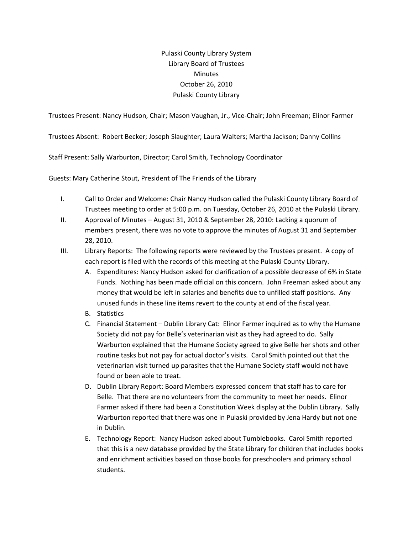Pulaski County Library System Library Board of Trustees Minutes October 26, 2010 Pulaski County Library

Trustees Present: Nancy Hudson, Chair; Mason Vaughan, Jr., Vice‐Chair; John Freeman; Elinor Farmer

Trustees Absent: Robert Becker; Joseph Slaughter; Laura Walters; Martha Jackson; Danny Collins

Staff Present: Sally Warburton, Director; Carol Smith, Technology Coordinator

Guests: Mary Catherine Stout, President of The Friends of the Library

- I. Call to Order and Welcome: Chair Nancy Hudson called the Pulaski County Library Board of Trustees meeting to order at 5:00 p.m. on Tuesday, October 26, 2010 at the Pulaski Library.
- II. Approval of Minutes August 31, 2010 & September 28, 2010: Lacking a quorum of members present, there was no vote to approve the minutes of August 31 and September 28, 2010.
- III. Library Reports: The following reports were reviewed by the Trustees present. A copy of each report is filed with the records of this meeting at the Pulaski County Library.
	- A. Expenditures: Nancy Hudson asked for clarification of a possible decrease of 6% in State Funds. Nothing has been made official on this concern. John Freeman asked about any money that would be left in salaries and benefits due to unfilled staff positions. Any unused funds in these line items revert to the county at end of the fiscal year.
	- B. Statistics
	- C. Financial Statement Dublin Library Cat: Elinor Farmer inquired as to why the Humane Society did not pay for Belle's veterinarian visit as they had agreed to do. Sally Warburton explained that the Humane Society agreed to give Belle her shots and other routine tasks but not pay for actual doctor's visits. Carol Smith pointed out that the veterinarian visit turned up parasites that the Humane Society staff would not have found or been able to treat.
	- D. Dublin Library Report: Board Members expressed concern that staff has to care for Belle. That there are no volunteers from the community to meet her needs. Elinor Farmer asked if there had been a Constitution Week display at the Dublin Library. Sally Warburton reported that there was one in Pulaski provided by Jena Hardy but not one in Dublin.
	- E. Technology Report: Nancy Hudson asked about Tumblebooks. Carol Smith reported that this is a new database provided by the State Library for children that includes books and enrichment activities based on those books for preschoolers and primary school students.